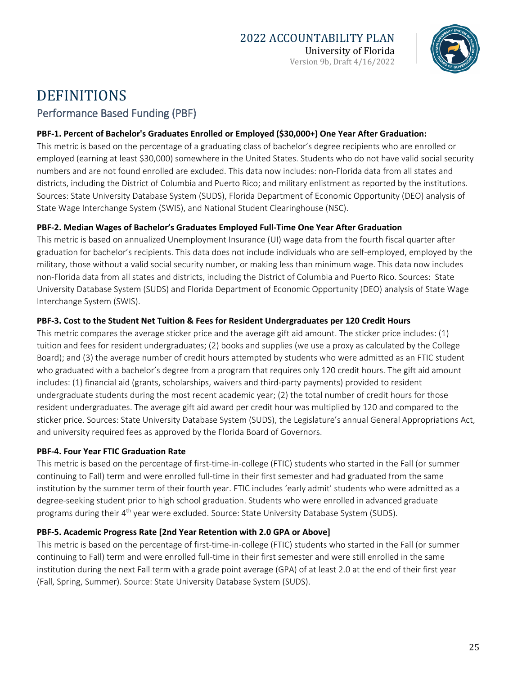

# DEFINITIONS Performance Based Funding (PBF)

#### **PBF-1. Percent of Bachelor's Graduates Enrolled or Employed (\$30,000+) One Year After Graduation:**

This metric is based on the percentage of a graduating class of bachelor's degree recipients who are enrolled or employed (earning at least \$30,000) somewhere in the United States. Students who do not have valid social security numbers and are not found enrolled are excluded. This data now includes: non-Florida data from all states and districts, including the District of Columbia and Puerto Rico; and military enlistment as reported by the institutions. Sources: State University Database System (SUDS), Florida Department of Economic Opportunity (DEO) analysis of State Wage Interchange System (SWIS), and National Student Clearinghouse (NSC).

#### **PBF-2. Median Wages of Bachelor's Graduates Employed Full-Time One Year After Graduation**

This metric is based on annualized Unemployment Insurance (UI) wage data from the fourth fiscal quarter after graduation for bachelor's recipients. This data does not include individuals who are self-employed, employed by the military, those without a valid social security number, or making less than minimum wage. This data now includes non-Florida data from all states and districts, including the District of Columbia and Puerto Rico. Sources: State University Database System (SUDS) and Florida Department of Economic Opportunity (DEO) analysis of State Wage Interchange System (SWIS).

#### **PBF-3. Cost to the Student Net Tuition & Fees for Resident Undergraduates per 120 Credit Hours**

This metric compares the average sticker price and the average gift aid amount. The sticker price includes: (1) tuition and fees for resident undergraduates; (2) books and supplies (we use a proxy as calculated by the College Board); and (3) the average number of credit hours attempted by students who were admitted as an FTIC student who graduated with a bachelor's degree from a program that requires only 120 credit hours. The gift aid amount includes: (1) financial aid (grants, scholarships, waivers and third-party payments) provided to resident undergraduate students during the most recent academic year; (2) the total number of credit hours for those resident undergraduates. The average gift aid award per credit hour was multiplied by 120 and compared to the sticker price. Sources: State University Database System (SUDS), the Legislature's annual General Appropriations Act, and university required fees as approved by the Florida Board of Governors.

#### **PBF-4. Four Year FTIC Graduation Rate**

This metric is based on the percentage of first-time-in-college (FTIC) students who started in the Fall (or summer continuing to Fall) term and were enrolled full-time in their first semester and had graduated from the same institution by the summer term of their fourth year. FTIC includes 'early admit' students who were admitted as a degree-seeking student prior to high school graduation. Students who were enrolled in advanced graduate programs during their 4th year were excluded. Source: State University Database System (SUDS).

### **PBF-5. Academic Progress Rate [2nd Year Retention with 2.0 GPA or Above]**

This metric is based on the percentage of first-time-in-college (FTIC) students who started in the Fall (or summer continuing to Fall) term and were enrolled full-time in their first semester and were still enrolled in the same institution during the next Fall term with a grade point average (GPA) of at least 2.0 at the end of their first year (Fall, Spring, Summer). Source: State University Database System (SUDS).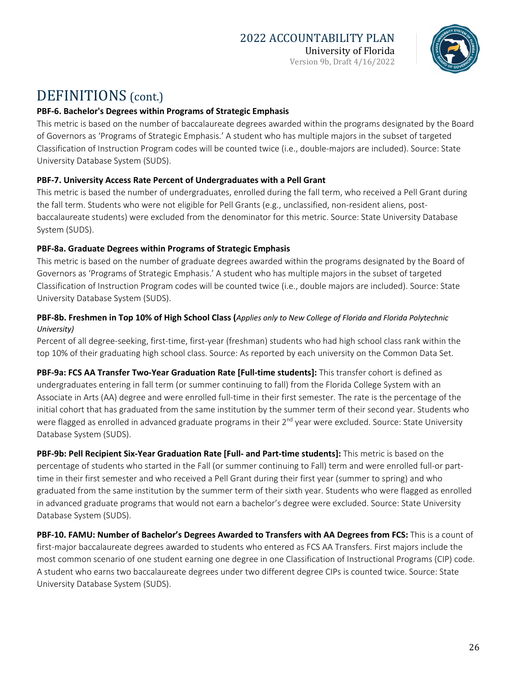

# DEFINITIONS (cont.)

#### **PBF-6. Bachelor's Degrees within Programs of Strategic Emphasis**

This metric is based on the number of baccalaureate degrees awarded within the programs designated by the Board of Governors as 'Programs of Strategic Emphasis.' A student who has multiple majors in the subset of targeted Classification of Instruction Program codes will be counted twice (i.e., double-majors are included). Source: State University Database System (SUDS).

#### **PBF-7. University Access Rate Percent of Undergraduates with a Pell Grant**

This metric is based the number of undergraduates, enrolled during the fall term, who received a Pell Grant during the fall term. Students who were not eligible for Pell Grants (e.g., unclassified, non-resident aliens, postbaccalaureate students) were excluded from the denominator for this metric. Source: State University Database System (SUDS).

#### **PBF-8a. Graduate Degrees within Programs of Strategic Emphasis**

This metric is based on the number of graduate degrees awarded within the programs designated by the Board of Governors as 'Programs of Strategic Emphasis.' A student who has multiple majors in the subset of targeted Classification of Instruction Program codes will be counted twice (i.e., double majors are included). Source: State University Database System (SUDS).

#### **PBF-8b. Freshmen in Top 10% of High School Class (***Applies only to New College of Florida and Florida Polytechnic University)*

Percent of all degree-seeking, first-time, first-year (freshman) students who had high school class rank within the top 10% of their graduating high school class. Source: As reported by each university on the Common Data Set.

**PBF-9a: FCS AA Transfer Two-Year Graduation Rate [Full-time students]:** This transfer cohort is defined as undergraduates entering in fall term (or summer continuing to fall) from the Florida College System with an Associate in Arts (AA) degree and were enrolled full-time in their first semester. The rate is the percentage of the initial cohort that has graduated from the same institution by the summer term of their second year. Students who were flagged as enrolled in advanced graduate programs in their 2<sup>nd</sup> year were excluded. Source: State University Database System (SUDS).

**PBF-9b: Pell Recipient Six-Year Graduation Rate [Full- and Part-time students]:** This metric is based on the percentage of students who started in the Fall (or summer continuing to Fall) term and were enrolled full-or parttime in their first semester and who received a Pell Grant during their first year (summer to spring) and who graduated from the same institution by the summer term of their sixth year. Students who were flagged as enrolled in advanced graduate programs that would not earn a bachelor's degree were excluded. Source: State University Database System (SUDS).

**PBF-10. FAMU: Number of Bachelor's Degrees Awarded to Transfers with AA Degrees from FCS:** This is a count of first-major baccalaureate degrees awarded to students who entered as FCS AA Transfers. First majors include the most common scenario of one student earning one degree in one Classification of Instructional Programs (CIP) code. A student who earns two baccalaureate degrees under two different degree CIPs is counted twice. Source: State University Database System (SUDS).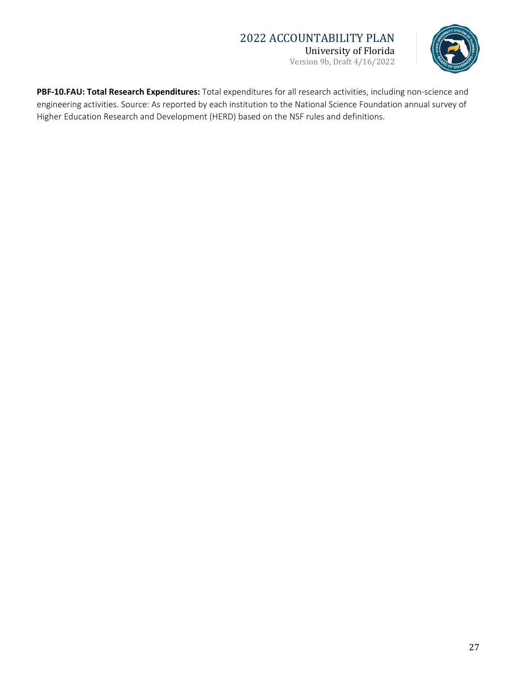### 2022 ACCOUNTABILITY PLAN University of Florida

Version 9b, Draft 4/16/2022



**PBF-10.FAU: Total Research Expenditures:** Total expenditures for all research activities, including non-science and engineering activities. Source: As reported by each institution to the National Science Foundation annual survey of Higher Education Research and Development (HERD) based on the NSF rules and definitions.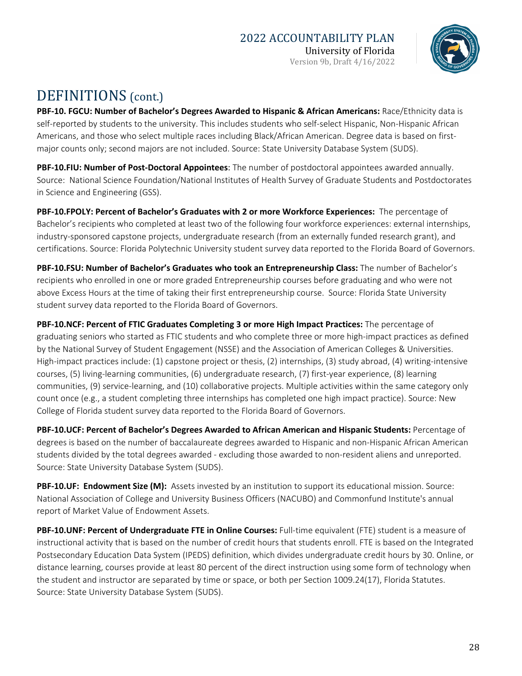

# DEFINITIONS (cont.)

**PBF-10. FGCU: Number of Bachelor's Degrees Awarded to Hispanic & African Americans:** Race/Ethnicity data is self-reported by students to the university. This includes students who self-select Hispanic, Non-Hispanic African Americans, and those who select multiple races including Black/African American. Degree data is based on firstmajor counts only; second majors are not included. Source: State University Database System (SUDS).

**PBF-10.FIU: Number of Post-Doctoral Appointees**: The number of postdoctoral appointees awarded annually. Source: National Science Foundation/National Institutes of Health Survey of Graduate Students and Postdoctorates in Science and Engineering (GSS).

**PBF-10.FPOLY: Percent of Bachelor's Graduates with 2 or more Workforce Experiences:** The percentage of Bachelor's recipients who completed at least two of the following four workforce experiences: external internships, industry-sponsored capstone projects, undergraduate research (from an externally funded research grant), and certifications. Source: Florida Polytechnic University student survey data reported to the Florida Board of Governors.

**PBF-10.FSU: Number of Bachelor's Graduates who took an Entrepreneurship Class:** The number of Bachelor's recipients who enrolled in one or more graded Entrepreneurship courses before graduating and who were not above Excess Hours at the time of taking their first entrepreneurship course. Source: Florida State University student survey data reported to the Florida Board of Governors.

**PBF-10.NCF: Percent of FTIC Graduates Completing 3 or more High Impact Practices:** The percentage of graduating seniors who started as FTIC students and who complete three or more high-impact practices as defined by the National Survey of Student Engagement (NSSE) and the Association of American Colleges & Universities. High-impact practices include: (1) capstone project or thesis, (2) internships, (3) study abroad, (4) writing-intensive courses, (5) living-learning communities, (6) undergraduate research, (7) first-year experience, (8) learning communities, (9) service-learning, and (10) collaborative projects. Multiple activities within the same category only count once (e.g., a student completing three internships has completed one high impact practice). Source: New College of Florida student survey data reported to the Florida Board of Governors.

**PBF-10.UCF: Percent of Bachelor's Degrees Awarded to African American and Hispanic Students:** Percentage of degrees is based on the number of baccalaureate degrees awarded to Hispanic and non-Hispanic African American students divided by the total degrees awarded - excluding those awarded to non-resident aliens and unreported. Source: State University Database System (SUDS).

**PBF-10.UF: Endowment Size (M):** Assets invested by an institution to support its educational mission. Source: National Association of College and University Business Officers (NACUBO) and Commonfund Institute's annual report of Market Value of Endowment Assets.

**PBF-10.UNF: Percent of Undergraduate FTE in Online Courses:** Full-time equivalent (FTE) student is a measure of instructional activity that is based on the number of credit hours that students enroll. FTE is based on the Integrated Postsecondary Education Data System (IPEDS) definition, which divides undergraduate credit hours by 30. Online, or distance learning, courses provide at least 80 percent of the direct instruction using some form of technology when the student and instructor are separated by time or space, or both per Section 1009.24(17), Florida Statutes. Source: State University Database System (SUDS).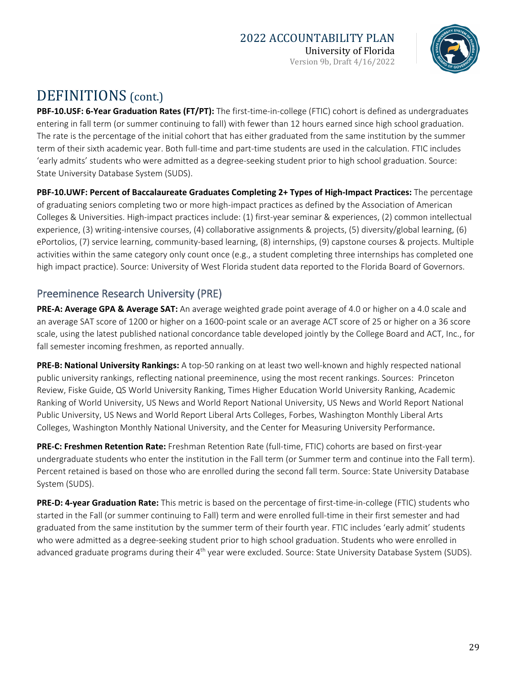# 2022 ACCOUNTABILITY PLAN

University of Florida Version 9b, Draft 4/16/2022



# DEFINITIONS (cont.)

**PBF-10.USF: 6-Year Graduation Rates (FT/PT):** The first-time-in-college (FTIC) cohort is defined as undergraduates entering in fall term (or summer continuing to fall) with fewer than 12 hours earned since high school graduation. The rate is the percentage of the initial cohort that has either graduated from the same institution by the summer term of their sixth academic year. Both full-time and part-time students are used in the calculation. FTIC includes 'early admits' students who were admitted as a degree-seeking student prior to high school graduation. Source: State University Database System (SUDS).

**PBF-10.UWF: Percent of Baccalaureate Graduates Completing 2+ Types of High-Impact Practices:** The percentage of graduating seniors completing two or more high-impact practices as defined by the Association of American Colleges & Universities. High-impact practices include: (1) first-year seminar & experiences, (2) common intellectual experience, (3) writing-intensive courses, (4) collaborative assignments & projects, (5) diversity/global learning, (6) ePortolios, (7) service learning, community-based learning, (8) internships, (9) capstone courses & projects. Multiple activities within the same category only count once (e.g., a student completing three internships has completed one high impact practice). Source: University of West Florida student data reported to the Florida Board of Governors.

## Preeminence Research University (PRE)

**PRE-A: Average GPA & Average SAT:** An average weighted grade point average of 4.0 or higher on a 4.0 scale and an average SAT score of 1200 or higher on a 1600-point scale or an average ACT score of 25 or higher on a 36 score scale, using the latest published national concordance table developed jointly by the College Board and ACT, Inc., for fall semester incoming freshmen, as reported annually.

**PRE-B: National University Rankings:** A top-50 ranking on at least two well-known and highly respected national public university rankings, reflecting national preeminence, using the most recent rankings. Sources: Princeton Review, Fiske Guide, QS World University Ranking, Times Higher Education World University Ranking, Academic Ranking of World University, US News and World Report National University, US News and World Report National Public University, US News and World Report Liberal Arts Colleges, Forbes, Washington Monthly Liberal Arts Colleges, Washington Monthly National University, and the Center for Measuring University Performance.

**PRE-C: Freshmen Retention Rate:** Freshman Retention Rate (full-time, FTIC) cohorts are based on first-year undergraduate students who enter the institution in the Fall term (or Summer term and continue into the Fall term). Percent retained is based on those who are enrolled during the second fall term. Source: State University Database System (SUDS).

**PRE-D: 4-year Graduation Rate:** This metric is based on the percentage of first-time-in-college (FTIC) students who started in the Fall (or summer continuing to Fall) term and were enrolled full-time in their first semester and had graduated from the same institution by the summer term of their fourth year. FTIC includes 'early admit' students who were admitted as a degree-seeking student prior to high school graduation. Students who were enrolled in advanced graduate programs during their  $4<sup>th</sup>$  year were excluded. Source: State University Database System (SUDS).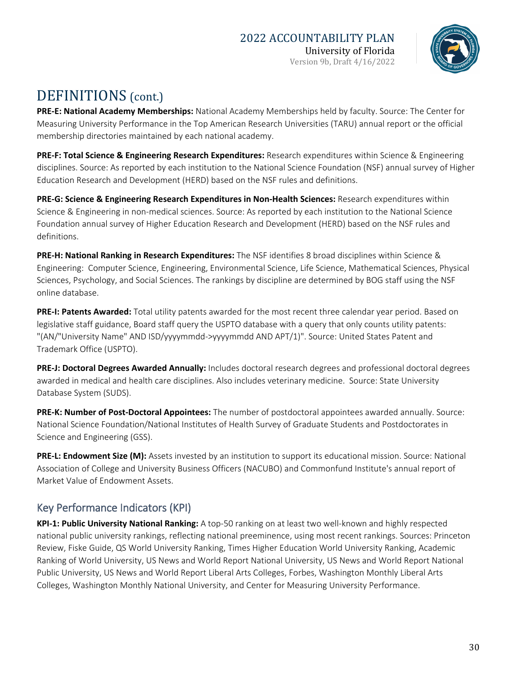

# DEFINITIONS (cont.)

**PRE-E: National Academy Memberships:** National Academy Memberships held by faculty. Source: The Center for Measuring University Performance in the Top American Research Universities (TARU) annual report or the official membership directories maintained by each national academy.

**PRE-F: Total Science & Engineering Research Expenditures:** Research expenditures within Science & Engineering disciplines. Source: As reported by each institution to the National Science Foundation (NSF) annual survey of Higher Education Research and Development (HERD) based on the NSF rules and definitions.

**PRE-G: Science & Engineering Research Expenditures in Non-Health Sciences:** Research expenditures within Science & Engineering in non-medical sciences. Source: As reported by each institution to the National Science Foundation annual survey of Higher Education Research and Development (HERD) based on the NSF rules and definitions.

**PRE-H: National Ranking in Research Expenditures:** The NSF identifies 8 broad disciplines within Science & Engineering: Computer Science, Engineering, Environmental Science, Life Science, Mathematical Sciences, Physical Sciences, Psychology, and Social Sciences. The rankings by discipline are determined by BOG staff using the NSF online database.

**PRE-I: Patents Awarded:** Total utility patents awarded for the most recent three calendar year period. Based on legislative staff guidance, Board staff query the USPTO database with a query that only counts utility patents: "(AN/"University Name" AND ISD/yyyymmdd->yyyymmdd AND APT/1)". Source: United States Patent and Trademark Office (USPTO).

**PRE-J: Doctoral Degrees Awarded Annually:** Includes doctoral research degrees and professional doctoral degrees awarded in medical and health care disciplines. Also includes veterinary medicine. Source: State University Database System (SUDS).

**PRE-K: Number of Post-Doctoral Appointees:** The number of postdoctoral appointees awarded annually. Source: National Science Foundation/National Institutes of Health Survey of Graduate Students and Postdoctorates in Science and Engineering (GSS).

**PRE-L: Endowment Size (M):** Assets invested by an institution to support its educational mission. Source: National Association of College and University Business Officers (NACUBO) and Commonfund Institute's annual report of Market Value of Endowment Assets.

## Key Performance Indicators (KPI)

**KPI-1: Public University National Ranking:** A top-50 ranking on at least two well-known and highly respected national public university rankings, reflecting national preeminence, using most recent rankings. Sources: Princeton Review, Fiske Guide, QS World University Ranking, Times Higher Education World University Ranking, Academic Ranking of World University, US News and World Report National University, US News and World Report National Public University, US News and World Report Liberal Arts Colleges, Forbes, Washington Monthly Liberal Arts Colleges, Washington Monthly National University, and Center for Measuring University Performance.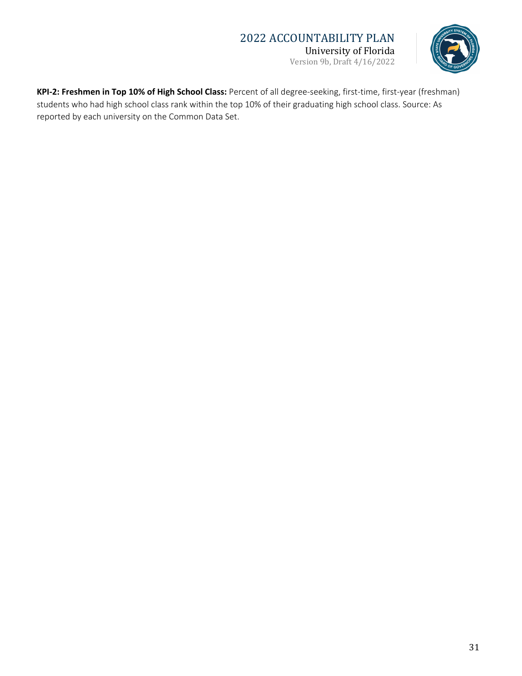## 2022 ACCOUNTABILITY PLAN University of Florida

Version 9b, Draft 4/16/2022



**KPI-2: Freshmen in Top 10% of High School Class:** Percent of all degree-seeking, first-time, first-year (freshman) students who had high school class rank within the top 10% of their graduating high school class. Source: As reported by each university on the Common Data Set.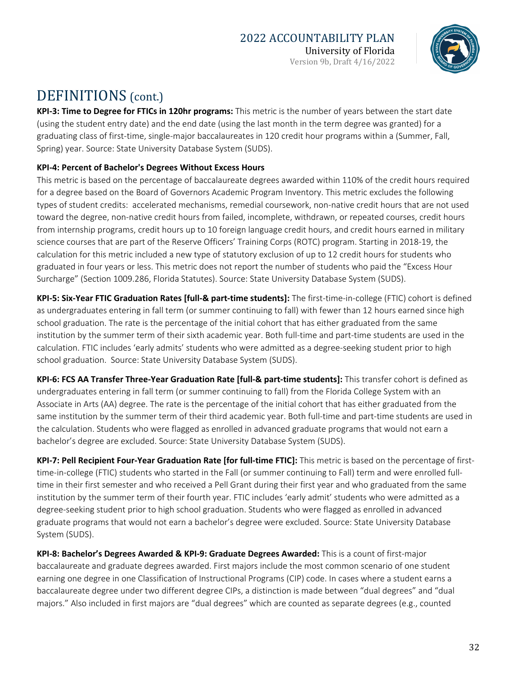University of Florida Version 9b, Draft 4/16/2022



# DEFINITIONS (cont.)

**KPI-3: Time to Degree for FTICs in 120hr programs:** This metric is the number of years between the start date (using the student entry date) and the end date (using the last month in the term degree was granted) for a graduating class of first-time, single-major baccalaureates in 120 credit hour programs within a (Summer, Fall, Spring) year. Source: State University Database System (SUDS).

### **KPI-4: Percent of Bachelor's Degrees Without Excess Hours**

This metric is based on the percentage of baccalaureate degrees awarded within 110% of the credit hours required for a degree based on the Board of Governors Academic Program Inventory. This metric excludes the following types of student credits: accelerated mechanisms, remedial coursework, non-native credit hours that are not used toward the degree, non-native credit hours from failed, incomplete, withdrawn, or repeated courses, credit hours from internship programs, credit hours up to 10 foreign language credit hours, and credit hours earned in military science courses that are part of the Reserve Officers' Training Corps (ROTC) program. Starting in 2018-19, the calculation for this metric included a new type of statutory exclusion of up to 12 credit hours for students who graduated in four years or less. This metric does not report the number of students who paid the "Excess Hour Surcharge" (Section 1009.286, Florida Statutes). Source: State University Database System (SUDS).

**KPI-5: Six-Year FTIC Graduation Rates [full-& part-time students]:** The first-time-in-college (FTIC) cohort is defined as undergraduates entering in fall term (or summer continuing to fall) with fewer than 12 hours earned since high school graduation. The rate is the percentage of the initial cohort that has either graduated from the same institution by the summer term of their sixth academic year. Both full-time and part-time students are used in the calculation. FTIC includes 'early admits' students who were admitted as a degree-seeking student prior to high school graduation. Source: State University Database System (SUDS).

**KPI-6: FCS AA Transfer Three-Year Graduation Rate [full-& part-time students]:** This transfer cohort is defined as undergraduates entering in fall term (or summer continuing to fall) from the Florida College System with an Associate in Arts (AA) degree. The rate is the percentage of the initial cohort that has either graduated from the same institution by the summer term of their third academic year. Both full-time and part-time students are used in the calculation. Students who were flagged as enrolled in advanced graduate programs that would not earn a bachelor's degree are excluded. Source: State University Database System (SUDS).

**KPI-7: Pell Recipient Four-Year Graduation Rate [for full-time FTIC]:** This metric is based on the percentage of firsttime-in-college (FTIC) students who started in the Fall (or summer continuing to Fall) term and were enrolled fulltime in their first semester and who received a Pell Grant during their first year and who graduated from the same institution by the summer term of their fourth year. FTIC includes 'early admit' students who were admitted as a degree-seeking student prior to high school graduation. Students who were flagged as enrolled in advanced graduate programs that would not earn a bachelor's degree were excluded. Source: State University Database System (SUDS).

**KPI-8: Bachelor's Degrees Awarded & KPI-9: Graduate Degrees Awarded:** This is a count of first-major baccalaureate and graduate degrees awarded. First majors include the most common scenario of one student earning one degree in one Classification of Instructional Programs (CIP) code. In cases where a student earns a baccalaureate degree under two different degree CIPs, a distinction is made between "dual degrees" and "dual majors." Also included in first majors are "dual degrees" which are counted as separate degrees (e.g., counted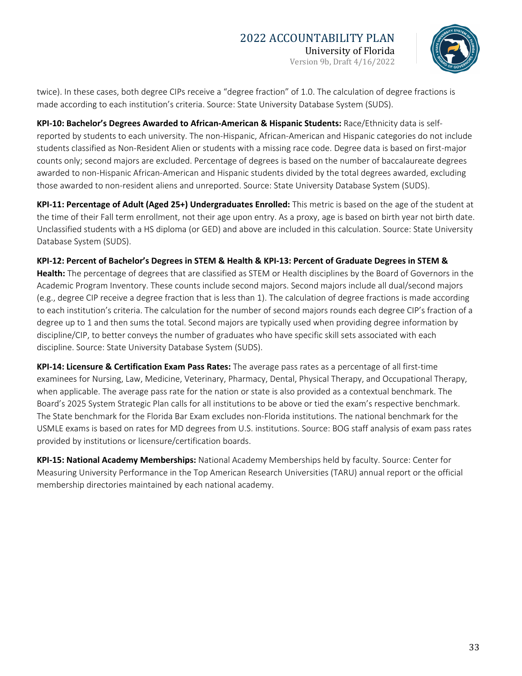

twice). In these cases, both degree CIPs receive a "degree fraction" of 1.0. The calculation of degree fractions is made according to each institution's criteria. Source: State University Database System (SUDS).

**KPI-10: Bachelor's Degrees Awarded to African-American & Hispanic Students:** Race/Ethnicity data is selfreported by students to each university. The non-Hispanic, African-American and Hispanic categories do not include students classified as Non-Resident Alien or students with a missing race code. Degree data is based on first-major counts only; second majors are excluded. Percentage of degrees is based on the number of baccalaureate degrees awarded to non-Hispanic African-American and Hispanic students divided by the total degrees awarded, excluding those awarded to non-resident aliens and unreported. Source: State University Database System (SUDS).

**KPI-11: Percentage of Adult (Aged 25+) Undergraduates Enrolled:** This metric is based on the age of the student at the time of their Fall term enrollment, not their age upon entry. As a proxy, age is based on birth year not birth date. Unclassified students with a HS diploma (or GED) and above are included in this calculation. Source: State University Database System (SUDS).

**KPI-12: Percent of Bachelor's Degrees in STEM & Health & KPI-13: Percent of Graduate Degrees in STEM &** 

**Health:** The percentage of degrees that are classified as STEM or Health disciplines by the Board of Governors in the Academic Program Inventory. These counts include second majors. Second majors include all dual/second majors (e.g., degree CIP receive a degree fraction that is less than 1). The calculation of degree fractions is made according to each institution's criteria. The calculation for the number of second majors rounds each degree CIP's fraction of a degree up to 1 and then sums the total. Second majors are typically used when providing degree information by discipline/CIP, to better conveys the number of graduates who have specific skill sets associated with each discipline. Source: State University Database System (SUDS).

**KPI-14: Licensure & Certification Exam Pass Rates:** The average pass rates as a percentage of all first-time examinees for Nursing, Law, Medicine, Veterinary, Pharmacy, Dental, Physical Therapy, and Occupational Therapy, when applicable. The average pass rate for the nation or state is also provided as a contextual benchmark. The Board's 2025 System Strategic Plan calls for all institutions to be above or tied the exam's respective benchmark. The State benchmark for the Florida Bar Exam excludes non-Florida institutions. The national benchmark for the USMLE exams is based on rates for MD degrees from U.S. institutions. Source: BOG staff analysis of exam pass rates provided by institutions or licensure/certification boards.

**KPI-15: National Academy Memberships:** National Academy Memberships held by faculty. Source: Center for Measuring University Performance in the Top American Research Universities (TARU) annual report or the official membership directories maintained by each national academy.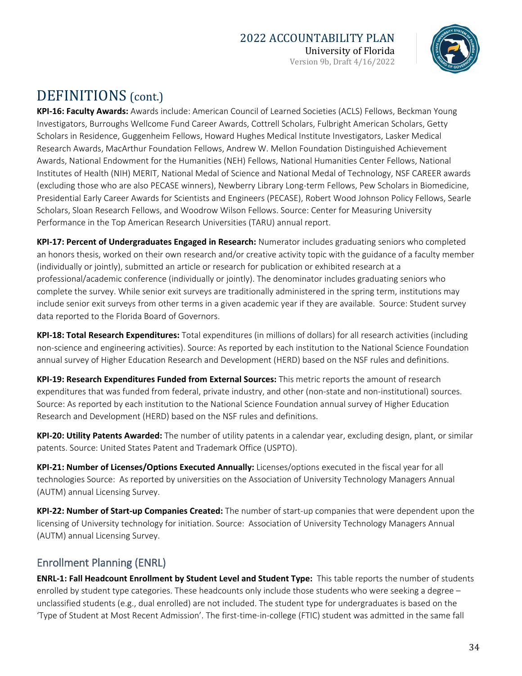## 2022 ACCOUNTABILITY PLAN

University of Florida Version 9b, Draft 4/16/2022



# DEFINITIONS (cont.)

**KPI-16: Faculty Awards:** Awards include: American Council of Learned Societies (ACLS) Fellows, Beckman Young Investigators, Burroughs Wellcome Fund Career Awards, Cottrell Scholars, Fulbright American Scholars, Getty Scholars in Residence, Guggenheim Fellows, Howard Hughes Medical Institute Investigators, Lasker Medical Research Awards, MacArthur Foundation Fellows, Andrew W. Mellon Foundation Distinguished Achievement Awards, National Endowment for the Humanities (NEH) Fellows, National Humanities Center Fellows, National Institutes of Health (NIH) MERIT, National Medal of Science and National Medal of Technology, NSF CAREER awards (excluding those who are also PECASE winners), Newberry Library Long-term Fellows, Pew Scholars in Biomedicine, Presidential Early Career Awards for Scientists and Engineers (PECASE), Robert Wood Johnson Policy Fellows, Searle Scholars, Sloan Research Fellows, and Woodrow Wilson Fellows. Source: Center for Measuring University Performance in the Top American Research Universities (TARU) annual report.

**KPI-17: Percent of Undergraduates Engaged in Research:** Numerator includes graduating seniors who completed an honors thesis, worked on their own research and/or creative activity topic with the guidance of a faculty member (individually or jointly), submitted an article or research for publication or exhibited research at a professional/academic conference (individually or jointly). The denominator includes graduating seniors who complete the survey. While senior exit surveys are traditionally administered in the spring term, institutions may include senior exit surveys from other terms in a given academic year if they are available. Source: Student survey data reported to the Florida Board of Governors.

**KPI-18: Total Research Expenditures:** Total expenditures (in millions of dollars) for all research activities (including non-science and engineering activities). Source: As reported by each institution to the National Science Foundation annual survey of Higher Education Research and Development (HERD) based on the NSF rules and definitions.

**KPI-19: Research Expenditures Funded from External Sources:** This metric reports the amount of research expenditures that was funded from federal, private industry, and other (non-state and non-institutional) sources. Source: As reported by each institution to the National Science Foundation annual survey of Higher Education Research and Development (HERD) based on the NSF rules and definitions.

**KPI-20: Utility Patents Awarded:** The number of utility patents in a calendar year, excluding design, plant, or similar patents. Source: United States Patent and Trademark Office (USPTO).

**KPI-21: Number of Licenses/Options Executed Annually:** Licenses/options executed in the fiscal year for all technologies Source: As reported by universities on the Association of University Technology Managers Annual (AUTM) annual Licensing Survey.

**KPI-22: Number of Start-up Companies Created:** The number of start-up companies that were dependent upon the licensing of University technology for initiation. Source: Association of University Technology Managers Annual (AUTM) annual Licensing Survey.

## Enrollment Planning (ENRL)

**ENRL-1: Fall Headcount Enrollment by Student Level and Student Type:** This table reports the number of students enrolled by student type categories. These headcounts only include those students who were seeking a degree – unclassified students (e.g., dual enrolled) are not included. The student type for undergraduates is based on the 'Type of Student at Most Recent Admission'. The first-time-in-college (FTIC) student was admitted in the same fall